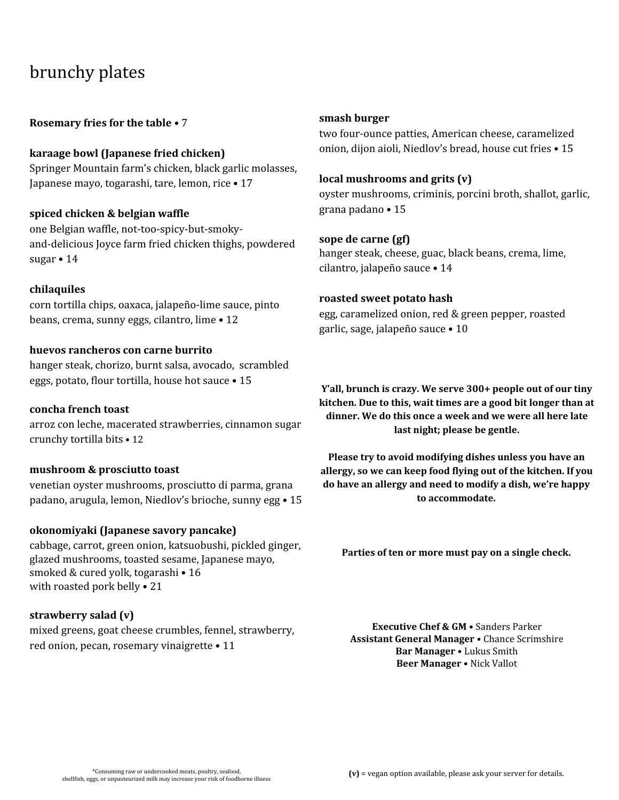## brunchy plates

**Rosemary fries for the table** • 7

**karaage bowl (Japanese fried chicken)** Springer Mountain farm's chicken, black garlic molasses, Japanese mayo, togarashi, tare, lemon, rice • 17

#### **spiced chicken & belgian waffle**

one Belgian waffle, not-too-spicy-but-smokyand-delicious Joyce farm fried chicken thighs, powdered sugar • 14

#### **chilaquiles**

corn tortilla chips, oaxaca, jalapeño-lime sauce, pinto beans, crema, sunny eggs, cilantro, lime • 12

#### **huevos rancheros con carne burrito**

hanger steak, chorizo, burnt salsa, avocado, scrambled eggs, potato, flour tortilla, house hot sauce • 15

#### **concha french toast**

arroz con leche, macerated strawberries, cinnamon sugar crunchy tortilla bits • 12

#### **mushroom & prosciutto toast**

venetian oyster mushrooms, prosciutto di parma, grana padano, arugula, lemon, Niedlov's brioche, sunny egg • 15

#### **okonomiyaki (Japanese savory pancake)**

cabbage, carrot, green onion, katsuobushi, pickled ginger, glazed mushrooms, toasted sesame, Japanese mayo, smoked & cured yolk, togarashi • 16 with roasted pork belly • 21

#### **strawberry salad (v)**

mixed greens, goat cheese crumbles, fennel, strawberry, red onion, pecan, rosemary vinaigrette • 11

#### **smash burger**

two four-ounce patties, American cheese, caramelized onion, dijon aioli, Niedlov's bread, house cut fries • 15

#### **local mushrooms and grits (v)**

oyster mushrooms, criminis, porcini broth, shallot, garlic, grana padano • 15

#### **sope de carne (gf)**

hanger steak, cheese, guac, black beans, crema, lime, cilantro, jalapeño sauce • 14

#### **roasted sweet potato hash**

egg, caramelized onion, red & green pepper, roasted garlic, sage, jalapeño sauce • 10

**Y'all, brunch is crazy. We serve 300+ people out of our tiny kitchen. Due to this, wait times are a good bit longer than at dinner. We do this once a week and we were all here late last night; please be gentle.**

**Please try to avoid modifying dishes unless you have an allergy, so we can keep food flying out of the kitchen. If you do have an allergy and need to modify a dish, we're happy to accommodate.**

**Parties of ten or more must pay on a single check.**

**Executive Chef & GM** • Sanders Parker **Assistant General Manager** • Chance Scrimshire **Bar Manager** • Lukus Smith **Beer Manager** • Nick Vallot